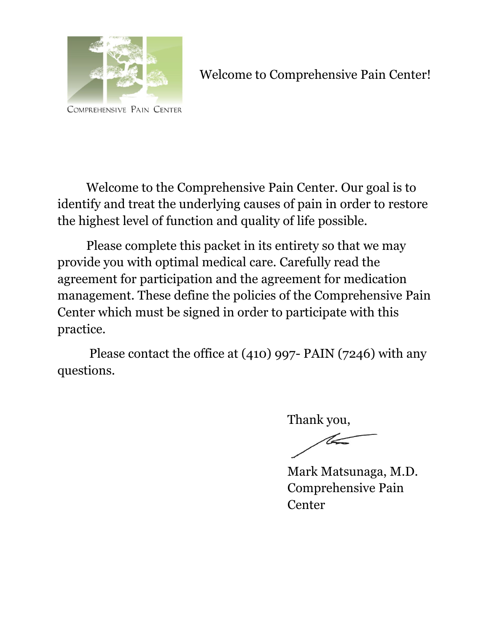

Welcome to Comprehensive Pain Center!

COMPREHENSIVE PAIN CENTER

Welcome to the Comprehensive Pain Center. Our goal is to identify and treat the underlying causes of pain in order to restore the highest level of function and quality of life possible.

Please complete this packet in its entirety so that we may provide you with optimal medical care. Carefully read the agreement for participation and the agreement for medication management. These define the policies of the Comprehensive Pain Center which must be signed in order to participate with this practice.

Please contact the office at (410) 997- PAIN (7246) with any questions.

> Thank you,  $\ll$

Mark Matsunaga, M.D. Comprehensive Pain **Center**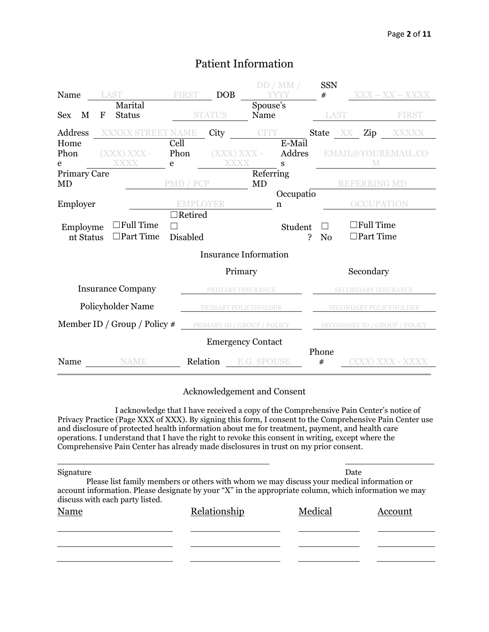| Name                      |             | LAST<br>Marital                      | <b>FIRST</b>      | <b>DOB</b>                   | Spouse's                 | DD/MM/         | <b>SSN</b><br># |                                | $XXX - XX - XXXX$                    |
|---------------------------|-------------|--------------------------------------|-------------------|------------------------------|--------------------------|----------------|-----------------|--------------------------------|--------------------------------------|
| M<br><b>Sex</b>           | $\mathbf F$ | <b>Status</b>                        |                   | <b>STATUS</b>                | Name                     |                | LAST            |                                | <b>FIRST</b>                         |
| Address<br>Home           |             | XXXXX STREET NAME                    | Cell              | City                         | <b>CITY</b>              | E-Mail         |                 | State XX Zip                   | XXXXX                                |
| Phon<br>e                 |             | $(XXX)$ $XXX -$<br><b>XXXX</b>       | Phon<br>e         | <b>XXXX</b>                  | $(XXX)$ $XXX$ -          | Addres<br>S    |                 |                                | EMAIL@YOUREMAIL.CO                   |
| <b>Primary Care</b><br>MD |             |                                      | PMD / PCP         |                              | Referring<br>MD          |                |                 | <b>REFERRING MD</b>            |                                      |
| Employer                  |             |                                      | $\exists$ Retired | <b>EMPLOYER</b>              |                          | Occupatio<br>n |                 |                                | <b>OCCUPATION</b>                    |
| Employme<br>nt Status     |             | $\Box$ Full Time<br>$\Box$ Part Time | Disabled          |                              |                          | Student<br>?   | N <sub>0</sub>  | ∃Full Time<br>$\Box$ Part Time |                                      |
|                           |             |                                      |                   | <b>Insurance Information</b> |                          |                |                 |                                |                                      |
|                           |             |                                      |                   |                              | Primary                  |                |                 | Secondary                      |                                      |
|                           |             | <b>Insurance Company</b>             |                   |                              | PRIMARY INSURANCE        |                |                 |                                | <b>SECONDARY INSURANCE</b>           |
|                           |             | Policyholder Name                    |                   | PRIMARY POLICYHOLDER         |                          |                |                 |                                | <b>SECONDARY POLICYHOLDER</b>        |
|                           |             | Member ID / Group / Policy $#$       |                   | PRIMARY ID / GROUP / POLICY  |                          |                |                 |                                | <b>SECONDARY ID / GROUP / POLICY</b> |
|                           |             |                                      |                   |                              | <b>Emergency Contact</b> |                |                 |                                |                                      |
| Name                      |             | <b>NAME</b>                          |                   | Relation                     | E.G. SPOUSE              |                | Phone<br>#      |                                | XXX) XXX - XXXX                      |

## Patient Information

#### Acknowledgement and Consent

I acknowledge that I have received a copy of the Comprehensive Pain Center's notice of Privacy Practice (Page XXX of XXX). By signing this form, I consent to the Comprehensive Pain Center use and disclosure of protected health information about me for treatment, payment, and health care operations. I understand that I have the right to revoke this consent in writing, except where the Comprehensive Pain Center has already made disclosures in trust on my prior consent.

| Signature                       |                                                                                                                                                                                                    | Date    |         |
|---------------------------------|----------------------------------------------------------------------------------------------------------------------------------------------------------------------------------------------------|---------|---------|
| discuss with each party listed. | Please list family members or others with whom we may discuss your medical information or<br>account information. Please designate by your "X" in the appropriate column, which information we may |         |         |
| Name                            | Relationship                                                                                                                                                                                       | Medical | Account |
|                                 |                                                                                                                                                                                                    |         |         |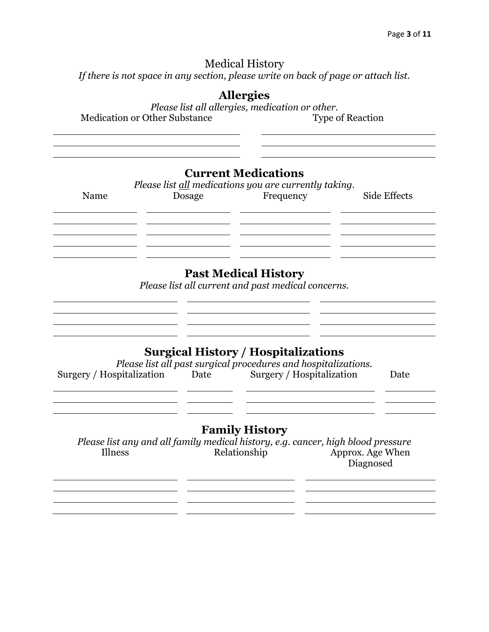### Medical History

*If there is not space in any section, please write on back of page or attach list.*

### **Allergies**

*Please list all allergies, medication or other.* Medication or Other Substance Type of Reaction

**Current Medications**

| Please list all medications you are currently taking. |        |           |              |  |  |
|-------------------------------------------------------|--------|-----------|--------------|--|--|
| Name                                                  | Dosage | Frequency | Side Effects |  |  |
|                                                       |        |           |              |  |  |
|                                                       |        |           |              |  |  |
|                                                       |        |           |              |  |  |
|                                                       |        |           |              |  |  |

## **Past Medical History**

*Please list all current and past medical concerns.*

<u> 1990 - Jan James James Barnett, amerikansk politiker (d. 1900)</u>

### **Surgical History / Hospitalizations**

| Please list all past surgical procedures and hospitalizations. |      |                           |      |  |  |
|----------------------------------------------------------------|------|---------------------------|------|--|--|
| Surgery / Hospitalization                                      | Date | Surgery / Hospitalization | Date |  |  |

### **Family History**

*Please list any and all family medical history, e.g. cancer, high blood pressure* Illness Relationship Approx. Age When Diagnosed

<u> 1990 - Johann John Stein, mars an deutscher Stein (besteht der Stein und der Stein und der Stein und der Stein</u> <u> 1989 - Andrea Stein, amerikansk politiker (d. 1989)</u>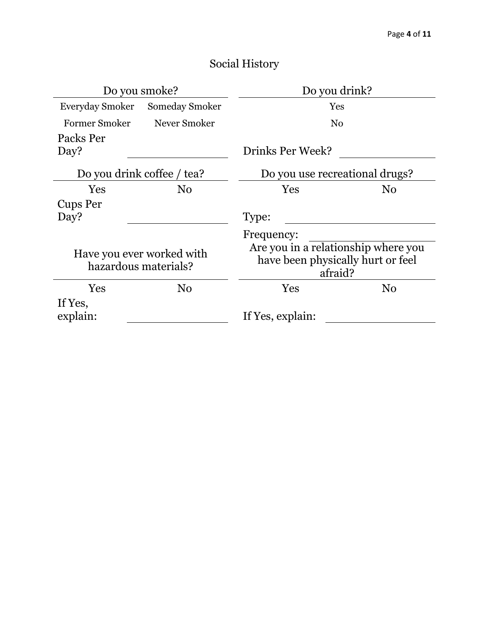| Do you smoke?                                     |                                | Do you drink?                                                                       |                |  |
|---------------------------------------------------|--------------------------------|-------------------------------------------------------------------------------------|----------------|--|
|                                                   | Everyday Smoker Someday Smoker | Yes                                                                                 |                |  |
| <b>Former Smoker</b>                              | Never Smoker                   | No                                                                                  |                |  |
| Packs Per                                         |                                |                                                                                     |                |  |
| Day?                                              |                                | Drinks Per Week?                                                                    |                |  |
|                                                   | Do you drink coffee / tea?     | Do you use recreational drugs?                                                      |                |  |
| Yes                                               | N <sub>0</sub>                 | Yes                                                                                 | $\rm No$       |  |
| Cups Per                                          |                                |                                                                                     |                |  |
| Day?                                              |                                | Type:                                                                               |                |  |
|                                                   |                                | Frequency:                                                                          |                |  |
| Have you ever worked with<br>hazardous materials? |                                | Are you in a relationship where you<br>have been physically hurt or feel<br>afraid? |                |  |
| Yes                                               | N <sub>0</sub>                 | Yes                                                                                 | N <sub>0</sub> |  |
| If Yes,<br>explain:                               |                                | If Yes, explain:                                                                    |                |  |

## Social History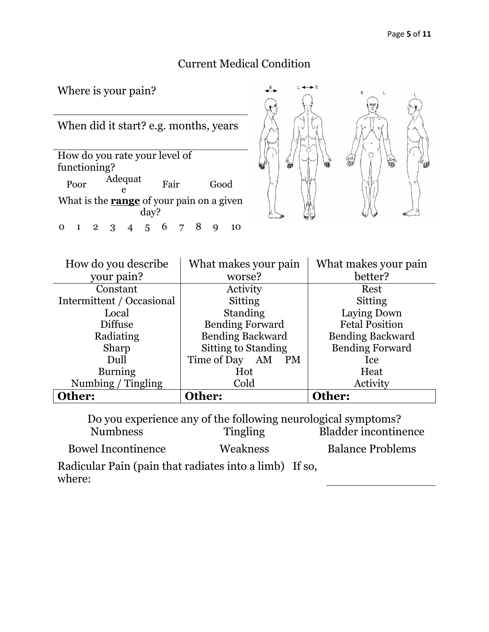## Current Medical Condition

 $\leftrightarrow R$ 

Where is your pain?



| How do you describe       | What makes your pain        | What makes your pain    |
|---------------------------|-----------------------------|-------------------------|
| your pain?                | worse?                      | better?                 |
| Constant                  | Activity                    | Rest                    |
| Intermittent / Occasional | Sitting                     | Sitting                 |
| Local                     | <b>Standing</b>             | Laying Down             |
| <b>Diffuse</b>            | <b>Bending Forward</b>      | <b>Fetal Position</b>   |
| Radiating                 | <b>Bending Backward</b>     | <b>Bending Backward</b> |
| Sharp                     | <b>Sitting to Standing</b>  | <b>Bending Forward</b>  |
| Dull                      | Time of Day AM<br><b>PM</b> | Ice                     |
| <b>Burning</b>            | Hot                         | Heat                    |
| Numbing / Tingling        | Cold                        | Activity                |
| Other:                    | Other:                      | Other:                  |

Do you experience any of the following neurological symptoms? Numbness Tingling Bladder incontinence Bowel Incontinence Weakness Balance Problems Radicular Pain (pain that radiates into a limb) If so, where: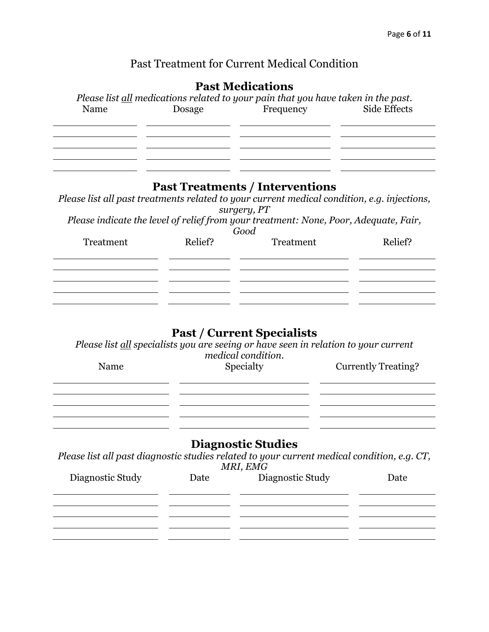## Past Treatment for Current Medical Condition

## **Past Medications**

| Name             | Dosage  | Please list all medications related to your pain that you have taken in the past.<br>Frequency                                                                                                                                                                    | Side Effects               |
|------------------|---------|-------------------------------------------------------------------------------------------------------------------------------------------------------------------------------------------------------------------------------------------------------------------|----------------------------|
| Treatment        | Relief? | <b>Past Treatments / Interventions</b><br>Please list all past treatments related to your current medical condition, e.g. injections,<br>surgery, PT<br>Please indicate the level of relief from your treatment: None, Poor, Adequate, Fair,<br>Good<br>Treatment | Relief?                    |
| Name             |         | <b>Past / Current Specialists</b><br>Please list all specialists you are seeing or have seen in relation to your current<br>medical condition.<br>Specialty                                                                                                       | <b>Currently Treating?</b> |
| Diagnostic Study | Date    | <b>Diagnostic Studies</b><br>Please list all past diagnostic studies related to your current medical condition, e.g. CT,<br>MRI, EMG<br>Diagnostic Study                                                                                                          | Date                       |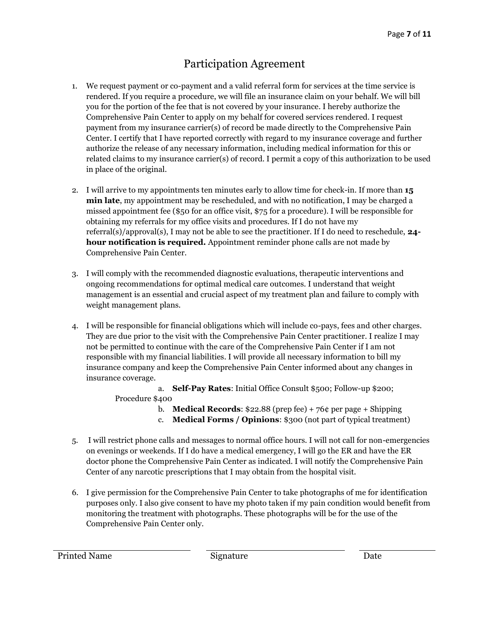## Participation Agreement

- 1. We request payment or co-payment and a valid referral form for services at the time service is rendered. If you require a procedure, we will file an insurance claim on your behalf. We will bill you for the portion of the fee that is not covered by your insurance. I hereby authorize the Comprehensive Pain Center to apply on my behalf for covered services rendered. I request payment from my insurance carrier(s) of record be made directly to the Comprehensive Pain Center. I certify that I have reported correctly with regard to my insurance coverage and further authorize the release of any necessary information, including medical information for this or related claims to my insurance carrier(s) of record. I permit a copy of this authorization to be used in place of the original.
- 2. I will arrive to my appointments ten minutes early to allow time for check-in. If more than **15 min late**, my appointment may be rescheduled, and with no notification, I may be charged a missed appointment fee (\$50 for an office visit, \$75 for a procedure). I will be responsible for obtaining my referrals for my office visits and procedures. If I do not have my referral(s)/approval(s), I may not be able to see the practitioner. If I do need to reschedule, **24 hour notification is required.** Appointment reminder phone calls are not made by Comprehensive Pain Center.
- 3. I will comply with the recommended diagnostic evaluations, therapeutic interventions and ongoing recommendations for optimal medical care outcomes. I understand that weight management is an essential and crucial aspect of my treatment plan and failure to comply with weight management plans.
- 4. I will be responsible for financial obligations which will include co-pays, fees and other charges. They are due prior to the visit with the Comprehensive Pain Center practitioner. I realize I may not be permitted to continue with the care of the Comprehensive Pain Center if I am not responsible with my financial liabilities. I will provide all necessary information to bill my insurance company and keep the Comprehensive Pain Center informed about any changes in insurance coverage.

a. **Self-Pay Rates**: Initial Office Consult \$500; Follow-up \$200; Procedure \$400

- b. **Medical Records**: \$22.88 (prep fee) + 76¢ per page + Shipping
- c. **Medical Forms / Opinions**: \$300 (not part of typical treatment)
- 5. I will restrict phone calls and messages to normal office hours. I will not call for non-emergencies on evenings or weekends. If I do have a medical emergency, I will go the ER and have the ER doctor phone the Comprehensive Pain Center as indicated. I will notify the Comprehensive Pain Center of any narcotic prescriptions that I may obtain from the hospital visit.
- 6. I give permission for the Comprehensive Pain Center to take photographs of me for identification purposes only. I also give consent to have my photo taken if my pain condition would benefit from monitoring the treatment with photographs. These photographs will be for the use of the Comprehensive Pain Center only.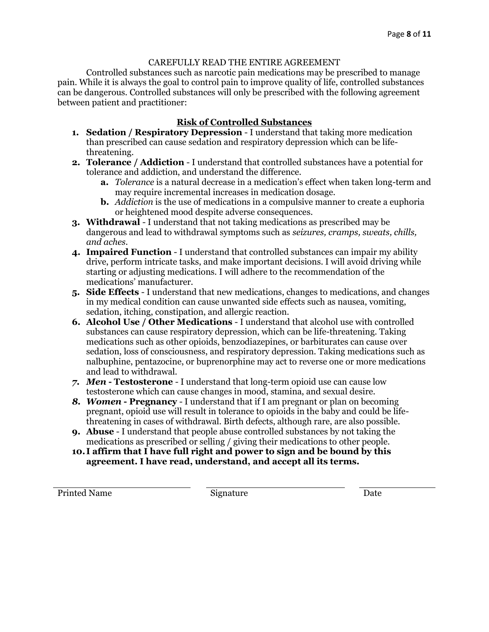#### CAREFULLY READ THE ENTIRE AGREEMENT

Controlled substances such as narcotic pain medications may be prescribed to manage pain. While it is always the goal to control pain to improve quality of life, controlled substances can be dangerous. Controlled substances will only be prescribed with the following agreement between patient and practitioner:

### **Risk of Controlled Substances**

- **1. Sedation / Respiratory Depression** I understand that taking more medication than prescribed can cause sedation and respiratory depression which can be lifethreatening.
- **2. Tolerance / Addiction** I understand that controlled substances have a potential for tolerance and addiction, and understand the difference.
	- **a.** *Tolerance* is a natural decrease in a medication's effect when taken long-term and may require incremental increases in medication dosage.
	- **b.** *Addiction* is the use of medications in a compulsive manner to create a euphoria or heightened mood despite adverse consequences.
- **3. Withdrawal** I understand that not taking medications as prescribed may be dangerous and lead to withdrawal symptoms such as *seizures, cramps, sweats, chills, and aches*.
- **4. Impaired Function** I understand that controlled substances can impair my ability drive, perform intricate tasks, and make important decisions. I will avoid driving while starting or adjusting medications. I will adhere to the recommendation of the medications' manufacturer.
- **5. Side Effects** I understand that new medications, changes to medications, and changes in my medical condition can cause unwanted side effects such as nausea, vomiting, sedation, itching, constipation, and allergic reaction.
- **6. Alcohol Use / Other Medications** I understand that alcohol use with controlled substances can cause respiratory depression, which can be life-threatening. Taking medications such as other opioids, benzodiazepines, or barbiturates can cause over sedation, loss of consciousness, and respiratory depression. Taking medications such as nalbuphine, pentazocine, or buprenorphine may act to reverse one or more medications and lead to withdrawal.
- *7. Men* **- Testosterone** I understand that long-term opioid use can cause low testosterone which can cause changes in mood, stamina, and sexual desire.
- *8. Women* **- Pregnancy** I understand that if I am pregnant or plan on becoming pregnant, opioid use will result in tolerance to opioids in the baby and could be lifethreatening in cases of withdrawal. Birth defects, although rare, are also possible.
- **9. Abuse** I understand that people abuse controlled substances by not taking the medications as prescribed or selling / giving their medications to other people.
- **10.I affirm that I have full right and power to sign and be bound by this agreement. I have read, understand, and accept all its terms.**

Printed Name Signature Date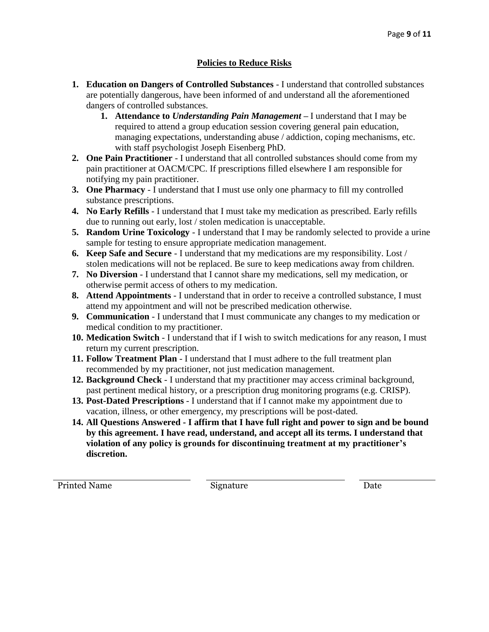### **Policies to Reduce Risks**

- **1. Education on Dangers of Controlled Substances** I understand that controlled substances are potentially dangerous, have been informed of and understand all the aforementioned dangers of controlled substances.
	- **1. Attendance to** *Understanding Pain Management* **–** I understand that I may be required to attend a group education session covering general pain education, managing expectations, understanding abuse / addiction, coping mechanisms, etc. with staff psychologist Joseph Eisenberg PhD.
- **2. One Pain Practitioner** I understand that all controlled substances should come from my pain practitioner at OACM/CPC. If prescriptions filled elsewhere I am responsible for notifying my pain practitioner.
- **3. One Pharmacy** I understand that I must use only one pharmacy to fill my controlled substance prescriptions.
- **4. No Early Refills** I understand that I must take my medication as prescribed. Early refills due to running out early, lost / stolen medication is unacceptable.
- **5. Random Urine Toxicology**  I understand that I may be randomly selected to provide a urine sample for testing to ensure appropriate medication management.
- **6. Keep Safe and Secure** I understand that my medications are my responsibility. Lost / stolen medications will not be replaced. Be sure to keep medications away from children.
- **7. No Diversion** I understand that I cannot share my medications, sell my medication, or otherwise permit access of others to my medication.
- **8. Attend Appointments** I understand that in order to receive a controlled substance, I must attend my appointment and will not be prescribed medication otherwise.
- **9. Communication** I understand that I must communicate any changes to my medication or medical condition to my practitioner.
- **10. Medication Switch** I understand that if I wish to switch medications for any reason, I must return my current prescription.
- **11. Follow Treatment Plan** I understand that I must adhere to the full treatment plan recommended by my practitioner, not just medication management.
- **12. Background Check** I understand that my practitioner may access criminal background, past pertinent medical history, or a prescription drug monitoring programs (e.g. CRISP).
- **13. Post-Dated Prescriptions** I understand that if I cannot make my appointment due to vacation, illness, or other emergency, my prescriptions will be post-dated.
- **14. All Questions Answered - I affirm that I have full right and power to sign and be bound by this agreement. I have read, understand, and accept all its terms. I understand that violation of any policy is grounds for discontinuing treatment at my practitioner's discretion.**

Printed Name Signature Signature Date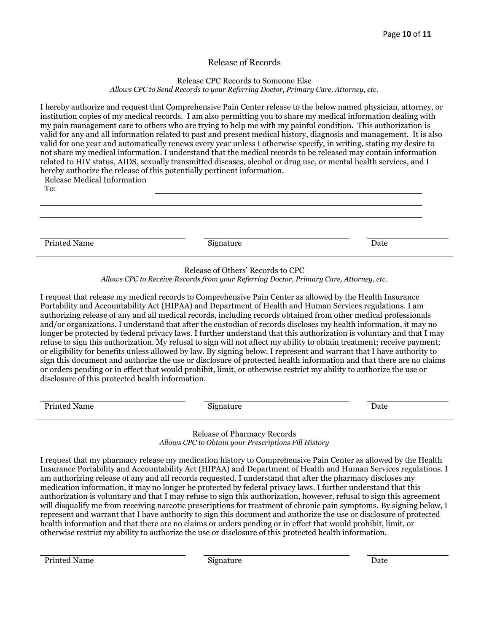#### Release of Records

#### Release CPC Records to Someone Else

*Allows CPC to Send Records to your Referring Doctor, Primary Care, Attorney, etc.* 

I hereby authorize and request that Comprehensive Pain Center release to the below named physician, attorney, or institution copies of my medical records. I am also permitting you to share my medical information dealing with my pain management care to others who are trying to help me with my painful condition. This authorization is valid for any and all information related to past and present medical history, diagnosis and management. It is also valid for one year and automatically renews every year unless I otherwise specify, in writing, stating my desire to not share my medical information. I understand that the medical records to be released may contain information related to HIV status, AIDS, sexually transmitted diseases, alcohol or drug use, or mental health services, and I hereby authorize the release of this potentially pertinent information.

Release Medical Information

To:

Printed Name Date Name Signature Signature Date Date

#### Release of Others' Records to CPC

*Allows CPC to Receive Records from your Referring Doctor, Primary Care, Attorney, etc.*

I request that release my medical records to Comprehensive Pain Center as allowed by the Health Insurance Portability and Accountability Act (HIPAA) and Department of Health and Human Services regulations. I am authorizing release of any and all medical records, including records obtained from other medical professionals and/or organizations. I understand that after the custodian of records discloses my health information, it may no longer be protected by federal privacy laws. I further understand that this authorization is voluntary and that I may refuse to sign this authorization. My refusal to sign will not affect my ability to obtain treatment; receive payment; or eligibility for benefits unless allowed by law. By signing below, I represent and warrant that I have authority to sign this document and authorize the use or disclosure of protected health information and that there are no claims or orders pending or in effect that would prohibit, limit, or otherwise restrict my ability to authorize the use or disclosure of this protected health information.

| Printed<br>Name.<br>. | 19 nature -<br>$- - - -$ | Date |
|-----------------------|--------------------------|------|
|                       |                          |      |

Release of Pharmacy Records *Allows CPC to Obtain your Prescriptions Fill History*

I request that my pharmacy release my medication history to Comprehensive Pain Center as allowed by the Health Insurance Portability and Accountability Act (HIPAA) and Department of Health and Human Services regulations. I am authorizing release of any and all records requested. I understand that after the pharmacy discloses my medication information, it may no longer be protected by federal privacy laws. I further understand that this authorization is voluntary and that I may refuse to sign this authorization, however, refusal to sign this agreement will disqualify me from receiving narcotic prescriptions for treatment of chronic pain symptoms. By signing below, I represent and warrant that I have authority to sign this document and authorize the use or disclosure of protected health information and that there are no claims or orders pending or in effect that would prohibit, limit, or otherwise restrict my ability to authorize the use or disclosure of this protected health information.

Printed Name Date Signature Signature Date Date